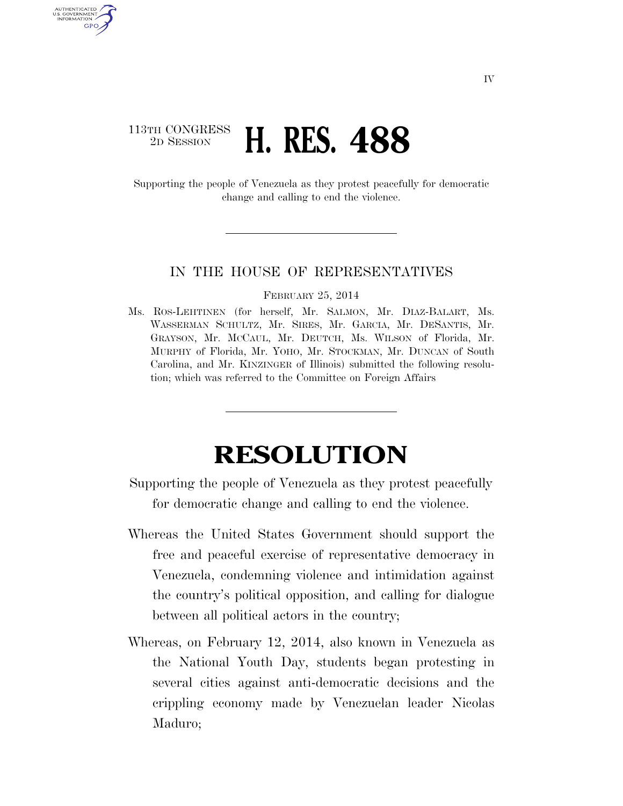## 113TH CONGRESS<br>2D SESSION 2D SESSION **H. RES. 488**

AUTHENTICATED U.S. GOVERNMENT **GPO** 

> Supporting the people of Venezuela as they protest peacefully for democratic change and calling to end the violence.

## IN THE HOUSE OF REPRESENTATIVES

## FEBRUARY 25, 2014

Ms. ROS-LEHTINEN (for herself, Mr. SALMON, Mr. DIAZ-BALART, Ms. WASSERMAN SCHULTZ, Mr. SIRES, Mr. GARCIA, Mr. DESANTIS, Mr. GRAYSON, Mr. MCCAUL, Mr. DEUTCH, Ms. WILSON of Florida, Mr. MURPHY of Florida, Mr. YOHO, Mr. STOCKMAN, Mr. DUNCAN of South Carolina, and Mr. KINZINGER of Illinois) submitted the following resolution; which was referred to the Committee on Foreign Affairs

## **RESOLUTION**

Supporting the people of Venezuela as they protest peacefully for democratic change and calling to end the violence.

- Whereas the United States Government should support the free and peaceful exercise of representative democracy in Venezuela, condemning violence and intimidation against the country's political opposition, and calling for dialogue between all political actors in the country;
- Whereas, on February 12, 2014, also known in Venezuela as the National Youth Day, students began protesting in several cities against anti-democratic decisions and the crippling economy made by Venezuelan leader Nicolas Maduro;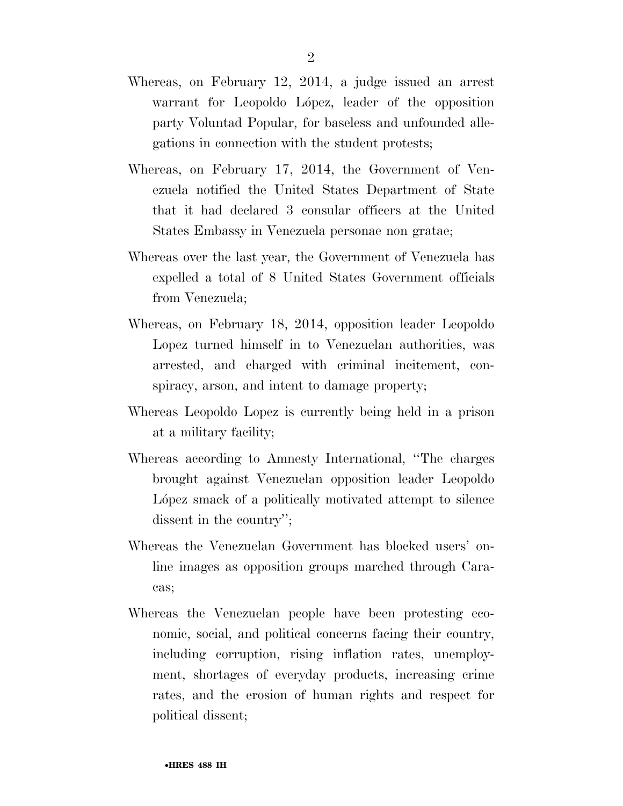- Whereas, on February 12, 2014, a judge issued an arrest warrant for Leopoldo López, leader of the opposition party Voluntad Popular, for baseless and unfounded allegations in connection with the student protests;
- Whereas, on February 17, 2014, the Government of Venezuela notified the United States Department of State that it had declared 3 consular officers at the United States Embassy in Venezuela personae non gratae;
- Whereas over the last year, the Government of Venezuela has expelled a total of 8 United States Government officials from Venezuela;
- Whereas, on February 18, 2014, opposition leader Leopoldo Lopez turned himself in to Venezuelan authorities, was arrested, and charged with criminal incitement, conspiracy, arson, and intent to damage property;
- Whereas Leopoldo Lopez is currently being held in a prison at a military facility;
- Whereas according to Amnesty International, ''The charges brought against Venezuelan opposition leader Leopoldo López smack of a politically motivated attempt to silence dissent in the country'';
- Whereas the Venezuelan Government has blocked users' online images as opposition groups marched through Caracas;
- Whereas the Venezuelan people have been protesting economic, social, and political concerns facing their country, including corruption, rising inflation rates, unemployment, shortages of everyday products, increasing crime rates, and the erosion of human rights and respect for political dissent;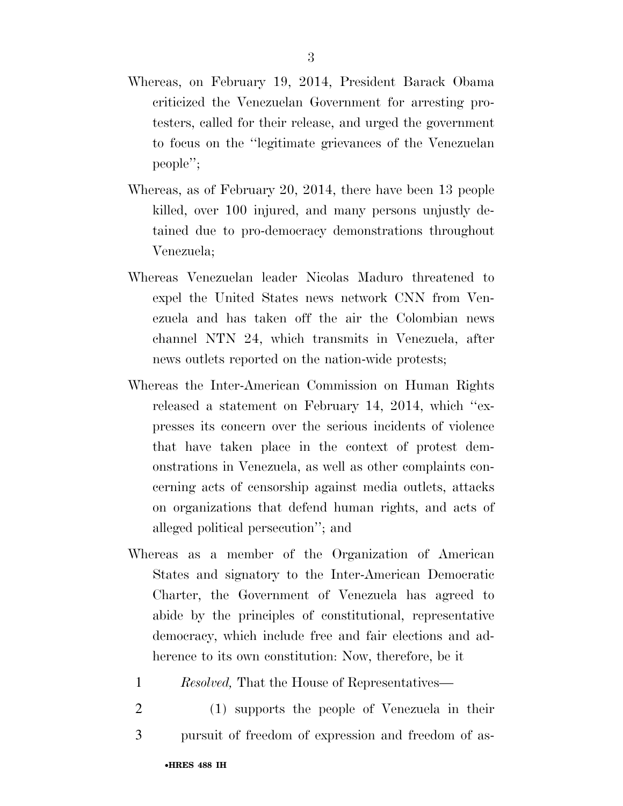- Whereas, on February 19, 2014, President Barack Obama criticized the Venezuelan Government for arresting protesters, called for their release, and urged the government to focus on the ''legitimate grievances of the Venezuelan people'';
- Whereas, as of February 20, 2014, there have been 13 people killed, over 100 injured, and many persons unjustly detained due to pro-democracy demonstrations throughout Venezuela;
- Whereas Venezuelan leader Nicolas Maduro threatened to expel the United States news network CNN from Venezuela and has taken off the air the Colombian news channel NTN 24, which transmits in Venezuela, after news outlets reported on the nation-wide protests;
- Whereas the Inter-American Commission on Human Rights released a statement on February 14, 2014, which ''expresses its concern over the serious incidents of violence that have taken place in the context of protest demonstrations in Venezuela, as well as other complaints concerning acts of censorship against media outlets, attacks on organizations that defend human rights, and acts of alleged political persecution''; and
- Whereas as a member of the Organization of American States and signatory to the Inter-American Democratic Charter, the Government of Venezuela has agreed to abide by the principles of constitutional, representative democracy, which include free and fair elections and adherence to its own constitution: Now, therefore, be it
	- 1 *Resolved,* That the House of Representatives—
	- 2 (1) supports the people of Venezuela in their 3 pursuit of freedom of expression and freedom of as-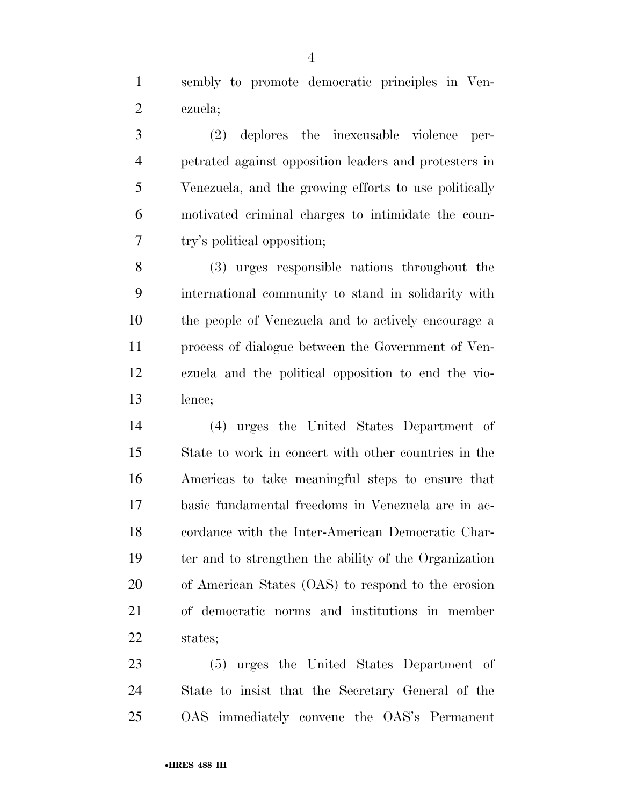sembly to promote democratic principles in Ven-ezuela;

 (2) deplores the inexcusable violence per- petrated against opposition leaders and protesters in Venezuela, and the growing efforts to use politically motivated criminal charges to intimidate the coun-try's political opposition;

 (3) urges responsible nations throughout the international community to stand in solidarity with the people of Venezuela and to actively encourage a process of dialogue between the Government of Ven- ezuela and the political opposition to end the vio-lence;

 (4) urges the United States Department of State to work in concert with other countries in the Americas to take meaningful steps to ensure that basic fundamental freedoms in Venezuela are in ac- cordance with the Inter-American Democratic Char- ter and to strengthen the ability of the Organization of American States (OAS) to respond to the erosion of democratic norms and institutions in member states;

 (5) urges the United States Department of State to insist that the Secretary General of the OAS immediately convene the OAS's Permanent